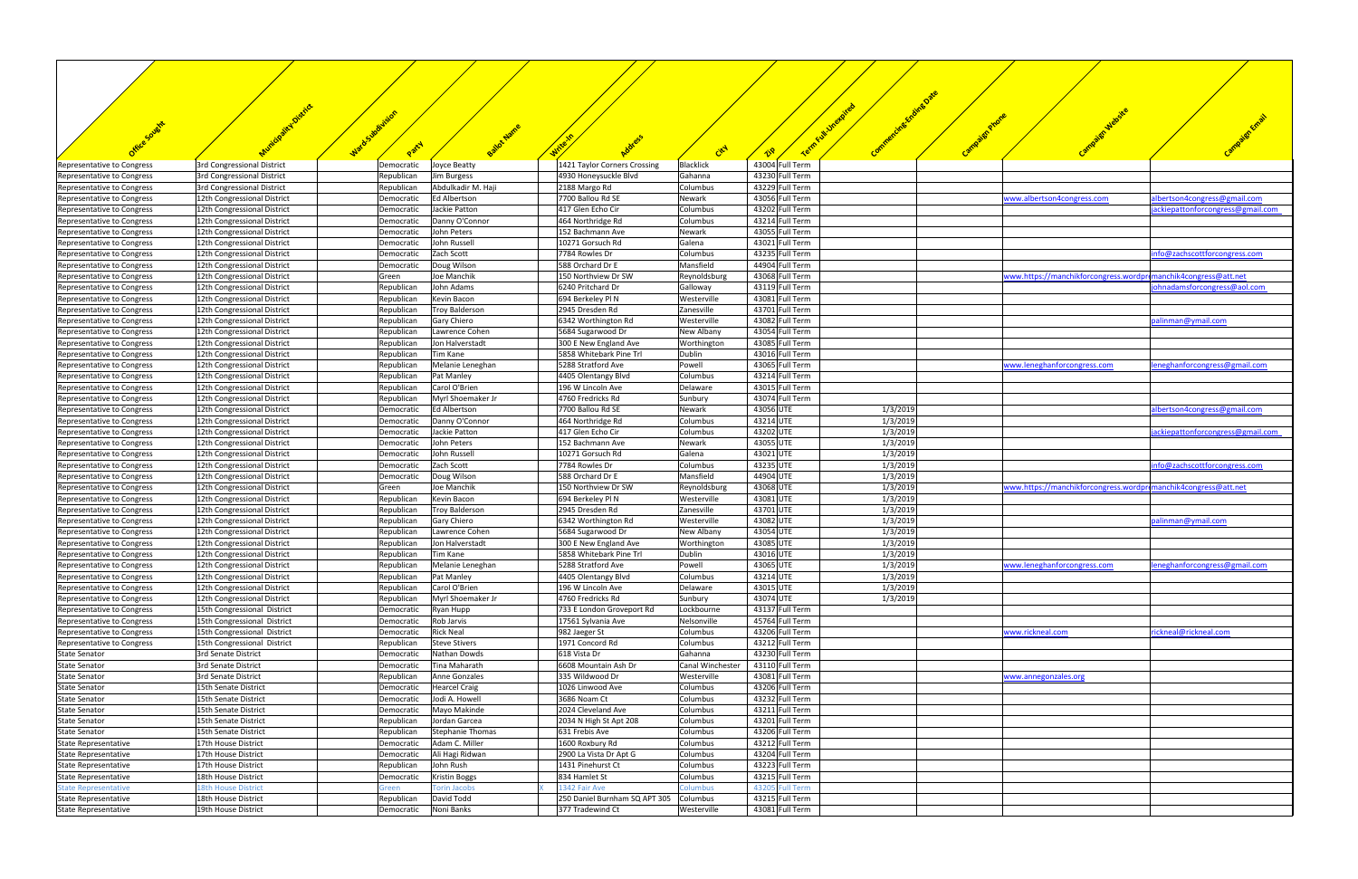|                                                            |                                                            | WardsJoulin<br>Party     |                                      |                                                       |                             |                                    |                      |                                                                |                                  |
|------------------------------------------------------------|------------------------------------------------------------|--------------------------|--------------------------------------|-------------------------------------------------------|-----------------------------|------------------------------------|----------------------|----------------------------------------------------------------|----------------------------------|
|                                                            |                                                            |                          |                                      |                                                       | City                        | ∡≫                                 |                      |                                                                |                                  |
| Representative to Congress<br>Representative to Congress   | 3rd Congressional District<br>3rd Congressional District   | Democratic<br>Republican | Joyce Beatty<br>Jim Burgess          | 1421 Taylor Corners Crossing<br>4930 Honeysuckle Blvd | <b>Blacklick</b><br>Gahanna | 43004 Full Term<br>43230 Full Term |                      |                                                                |                                  |
| Representative to Congress                                 | 3rd Congressional District                                 | Republican               | Abdulkadir M. Haji                   | 2188 Margo Rd                                         | Columbus                    | 43229 Full Term                    |                      |                                                                |                                  |
| Representative to Congress                                 | 12th Congressional District                                | Democratic               | <b>Ed Albertson</b>                  | 7700 Ballou Rd SE                                     | Newark                      | 43056 Full Term                    |                      | www.albertson4congress.com                                     | albertson4congress@gmail.com     |
| Representative to Congress                                 | 12th Congressional District                                | Democratic               | Jackie Patton                        | 417 Glen Echo Cir                                     | Columbus                    | 43202 Full Term                    |                      |                                                                | ackiepattonforcongress@gmail.com |
| Representative to Congress<br>Representative to Congress   | 12th Congressional District<br>12th Congressional District | Democratic<br>Democratic | Danny O'Connor<br>John Peters        | 464 Northridge Rd<br>152 Bachmann Ave                 | Columbus<br>Newark          | 43214 Full Term<br>43055 Full Term |                      |                                                                |                                  |
| Representative to Congress                                 | 12th Congressional District                                | Democratic               | John Russell                         | 10271 Gorsuch Rd                                      | Galena                      | 43021 Full Term                    |                      |                                                                |                                  |
| Representative to Congress                                 | 12th Congressional District                                | Democratic               | Zach Scott                           | 7784 Rowles Dr                                        | Columbus                    | 43235 Full Term                    |                      |                                                                | info@zachscottforcongress.com    |
| Representative to Congress                                 | 12th Congressional District                                | Democratic               | Doug Wilson                          | 588 Orchard Dr E                                      | Mansfield                   | 44904 Full Term                    |                      |                                                                |                                  |
| Representative to Congress                                 | 12th Congressional District                                | Green                    | Joe Manchik                          | 150 Northview Dr SW                                   | Reynoldsburg                | 43068 Full Term                    |                      | www.https://manchikforcongress.wordpromanchik4congress@att.net |                                  |
| Representative to Congress                                 | 12th Congressional District                                | Republican               | John Adams                           | 6240 Pritchard Dr                                     | Galloway                    | 43119 Full Term                    |                      |                                                                | johnadamsforcongress@aol.com     |
| Representative to Congress<br>Representative to Congress   | 12th Congressional District<br>12th Congressional District | Republican<br>Republican | Kevin Bacon<br><b>Troy Balderson</b> | 694 Berkeley Pl N<br>2945 Dresden Rd                  | Westerville<br>Zanesville   | 43081 Full Term<br>43701 Full Term |                      |                                                                |                                  |
| Representative to Congress                                 | 12th Congressional District                                | Republican               | Gary Chiero                          | 6342 Worthington Rd                                   | Westerville                 | 43082 Full Term                    |                      |                                                                | palinman@ymail.com               |
| Representative to Congress                                 | 12th Congressional District                                | Republican               | Lawrence Cohen                       | 5684 Sugarwood Dr                                     | New Albany                  | 43054 Full Term                    |                      |                                                                |                                  |
| Representative to Congress                                 | 12th Congressional District                                | Republican               | Jon Halverstadt                      | 300 E New England Ave                                 | Worthington                 | 43085 Full Term                    |                      |                                                                |                                  |
| Representative to Congress                                 | 12th Congressional District                                | Republican               | Tim Kane                             | 5858 Whitebark Pine Trl                               | Dublin                      | 43016 Full Term                    |                      |                                                                |                                  |
| Representative to Congress                                 | 12th Congressional District                                | Republican               | Melanie Leneghan                     | 5288 Stratford Ave                                    | Powell                      | 43065 Full Term                    |                      | www.leneghanforcongress.com                                    | leneghanforcongress@gmail.com    |
| Representative to Congress                                 | 12th Congressional District                                | Republican               | Pat Manley                           | 4405 Olentangy Blvd                                   | Columbus                    | 43214 Full Term                    |                      |                                                                |                                  |
| Representative to Congress<br>Representative to Congress   | 12th Congressional District<br>12th Congressional District | Republican<br>Republican | Carol O'Brien<br>Myrl Shoemaker Jr   | 196 W Lincoln Ave<br>4760 Fredricks Rd                | Delaware<br>Sunbury         | 43015 Full Term<br>43074 Full Term |                      |                                                                |                                  |
| Representative to Congress                                 | 12th Congressional District                                | Democratic               | <b>Ed Albertson</b>                  | 7700 Ballou Rd SE                                     | Newark                      | 43056 UTE                          | 1/3/2019             |                                                                | albertson4congress@gmail.com     |
| Representative to Congress                                 | 12th Congressional District                                | Democratic               | Danny O'Connor                       | 464 Northridge Rd                                     | Columbus                    | 43214 UTE                          | 1/3/2019             |                                                                |                                  |
| Representative to Congress                                 | 12th Congressional District                                | Democratic               | Jackie Patton                        | 417 Glen Echo Cir                                     | Columbus                    | 43202 UTE                          | 1/3/2019             |                                                                | ackiepattonforcongress@gmail.com |
| Representative to Congress                                 | 12th Congressional District                                | Democratic               | John Peters                          | 152 Bachmann Ave                                      | Newark                      | 43055 UTE                          | 1/3/2019             |                                                                |                                  |
| Representative to Congress                                 | 12th Congressional District                                | Democratic               | John Russell                         | 10271 Gorsuch Rd                                      | Galena                      | 43021 UTE                          | 1/3/2019             |                                                                |                                  |
| Representative to Congress                                 | 12th Congressional District                                | Democratic               | Zach Scott                           | 7784 Rowles Dr                                        | Columbus                    | 43235 UTE                          | 1/3/2019             |                                                                | info@zachscottforcongress.com    |
| Representative to Congress                                 | 12th Congressional District                                | Democratic               | Doug Wilson<br>Joe Manchik           | 588 Orchard Dr E<br>150 Northview Dr SW               | Mansfield                   | 44904 UTE<br>43068 UTE             | 1/3/2019<br>1/3/2019 | www.https://manchikforcongress.wordpromanchik4congress@att.net |                                  |
| Representative to Congress<br>Representative to Congress   | 12th Congressional District<br>12th Congressional District | Green<br>Republican      | Kevin Bacon                          | 694 Berkeley Pl N                                     | Reynoldsburg<br>Westerville | 43081 UTE                          | 1/3/2019             |                                                                |                                  |
| Representative to Congress                                 | 12th Congressional District                                | Republican               | <b>Troy Balderson</b>                | 2945 Dresden Rd                                       | Zanesville                  | 43701 UTE                          | 1/3/2019             |                                                                |                                  |
| Representative to Congress                                 | 12th Congressional District                                | Republican               | Gary Chiero                          | 6342 Worthington Rd                                   | Westerville                 | 43082 UTE                          | 1/3/2019             |                                                                | palinman@ymail.com               |
| Representative to Congress                                 | 12th Congressional District                                | Republican               | Lawrence Cohen                       | 5684 Sugarwood Dr                                     | New Albany                  | 43054 UTE                          | 1/3/2019             |                                                                |                                  |
| Representative to Congress                                 | 12th Congressional District                                | Republican               | Jon Halverstadt                      | 300 E New England Ave                                 | Worthington                 | 43085 UTE                          | 1/3/2019             |                                                                |                                  |
| Representative to Congress                                 | 12th Congressional District                                | Republican               | Tim Kane                             | 5858 Whitebark Pine Trl                               | Dublin                      | 43016 UTE                          | 1/3/2019             |                                                                |                                  |
| Representative to Congress                                 | 12th Congressional District                                | Republican               | Melanie Leneghan                     | 5288 Stratford Ave                                    | Powell                      | 43065 UTE                          | 1/3/2019             | www.leneghanforcongress.com                                    | leneghanforcongress@gmail.com    |
| Representative to Congress<br>Representative to Congress   | 12th Congressional District<br>12th Congressional District | Republican<br>Republican | Pat Manley<br>Carol O'Brien          | 4405 Olentangy Blvd<br>196 W Lincoln Ave              | Columbus<br>Delaware        | 43214 UTE<br>43015 UTE             | 1/3/2019<br>1/3/2019 |                                                                |                                  |
| Representative to Congress                                 | 12th Congressional District                                | Republican               | Myrl Shoemaker Jr                    | 4760 Fredricks Rd                                     | Sunbury                     | 43074 UTE                          | 1/3/2019             |                                                                |                                  |
| <b>Representative to Congress</b>                          | 15th Congressional District                                | Democratic               | Ryan Hupp                            | 733 E London Groveport Rd                             | Lockbourne                  | 43137 Full Term                    |                      |                                                                |                                  |
| Representative to Congress                                 | 15th Congressional District                                | Democratic               | Rob Jarvis                           | 17561 Sylvania Ave                                    | Nelsonville                 | 45764 Full Term                    |                      |                                                                |                                  |
| Representative to Congress                                 | 15th Congressional District                                | Democratic               | <b>Rick Neal</b>                     | 982 Jaeger St                                         | Columbus                    | 43206 Full Term                    |                      | www.rickneal.com                                               | rickneal@rickneal.com            |
| <b>Representative to Congress</b>                          | 15th Congressional District                                | Republican               | <b>Steve Stivers</b>                 | 1971 Concord Rd                                       | Columbus                    | 43212 Full Term                    |                      |                                                                |                                  |
| <b>State Senator</b>                                       | 3rd Senate District<br>3rd Senate District                 | Democratic               | Nathan Dowds<br>Tina Maharath        | 618 Vista Dr<br>6608 Mountain Ash Dr                  | Gahanna<br>Canal Winchester | 43230 Full Term<br>43110 Full Term |                      |                                                                |                                  |
| <b>State Senator</b><br><b>State Senator</b>               | 3rd Senate District                                        | Democratic<br>Republican | Anne Gonzales                        | 335 Wildwood Dr                                       | Westerville                 | 43081 Full Term                    |                      | www.annegonzales.org                                           |                                  |
| <b>State Senator</b>                                       | 15th Senate District                                       | Democratic               | <b>Hearcel Craig</b>                 | 1026 Linwood Ave                                      | Columbus                    | 43206 Full Term                    |                      |                                                                |                                  |
| <b>State Senator</b>                                       | 15th Senate District                                       | Democratic               | Jodi A. Howell                       | 3686 Noam Ct                                          | Columbus                    | 43232 Full Term                    |                      |                                                                |                                  |
| <b>State Senator</b>                                       | 15th Senate District                                       | Democratic               | Mayo Makinde                         | 2024 Cleveland Ave                                    | Columbus                    | 43211 Full Term                    |                      |                                                                |                                  |
| <b>State Senator</b>                                       | 15th Senate District                                       | Republican               | Jordan Garcea                        | 2034 N High St Apt 208                                | Columbus                    | 43201 Full Term                    |                      |                                                                |                                  |
| <b>State Senator</b>                                       | 15th Senate District                                       | Republican               | <b>Stephanie Thomas</b>              | 631 Frebis Ave                                        | Columbus                    | 43206 Full Term                    |                      |                                                                |                                  |
| <b>State Representative</b>                                | 17th House District                                        | Democratic               | Adam C. Miller                       | 1600 Roxbury Rd                                       | Columbus                    | 43212 Full Term                    |                      |                                                                |                                  |
| <b>State Representative</b><br><b>State Representative</b> | 17th House District<br>17th House District                 | Democratic<br>Republican | Ali Hagi Ridwan<br>John Rush         | 2900 La Vista Dr Apt G<br>1431 Pinehurst Ct           | Columbus<br>Columbus        | 43204 Full Term<br>43223 Full Term |                      |                                                                |                                  |
| <b>State Representative</b>                                | 18th House District                                        | Democratic               | <b>Kristin Boggs</b>                 | 834 Hamlet St                                         | Columbus                    | 43215 Full Term                    |                      |                                                                |                                  |
| State Representative                                       | <b>L8th House District</b>                                 | Green                    | <b>Torin Jacobs</b>                  | <b>1342 Fair Ave</b>                                  | <b>Columbus</b>             | 43205 Full Term                    |                      |                                                                |                                  |
| <b>State Representative</b>                                | 18th House District                                        | Republican               | David Todd                           | 250 Daniel Burnham SQ APT 305                         | Columbus                    | 43215 Full Term                    |                      |                                                                |                                  |
| <b>State Representative</b>                                | 19th House District                                        | Democratic               | Noni Banks                           | 377 Tradewind Ct                                      | Westerville                 | 43081 Full Term                    |                      |                                                                |                                  |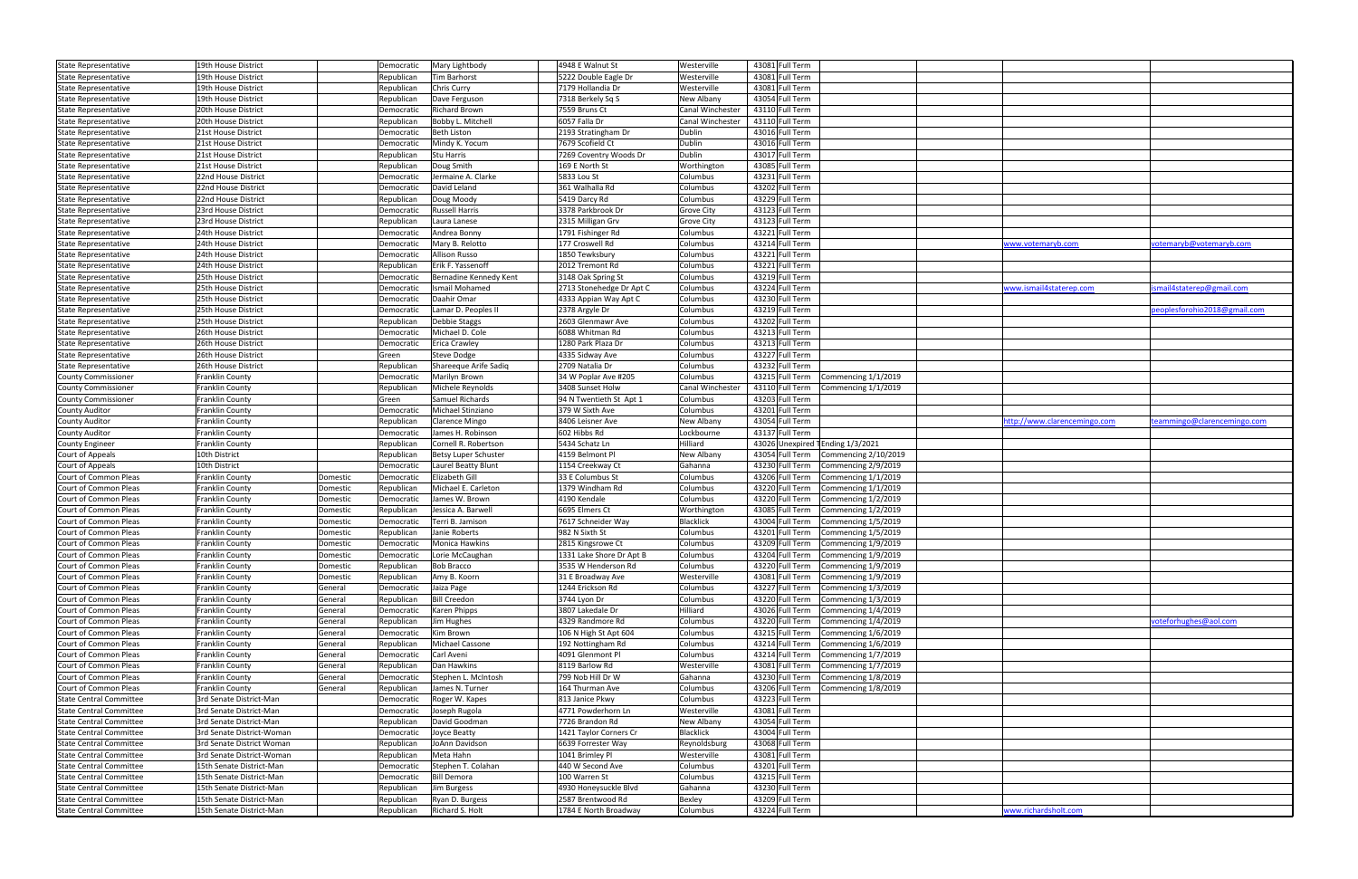| <b>State Representative</b>    | 19th House District       |          | Democratic | Mary Lightbody         | 4948 E Walnut St         | Westerville             | 43081 Full Term                        |                              |                              |
|--------------------------------|---------------------------|----------|------------|------------------------|--------------------------|-------------------------|----------------------------------------|------------------------------|------------------------------|
| State Representative           | 19th House District       |          | Republican | Tim Barhorst           | 5222 Double Eagle Dr     | Westerville             | 43081 Full Term                        |                              |                              |
| <b>State Representative</b>    | 19th House District       |          | Republican | Chris Curry            | 7179 Hollandia Dr        | Westerville             | 43081 Full Term                        |                              |                              |
| <b>State Representative</b>    | 19th House District       |          | Republican | Dave Ferguson          | 7318 Berkely Sq S        | New Albany              | 43054 Full Term                        |                              |                              |
| <b>State Representative</b>    | 20th House District       |          | Democratic | <b>Richard Brown</b>   | 7559 Bruns Ct            | Canal Winchester        | 43110 Full Term                        |                              |                              |
| State Representative           | 20th House District       |          | Republican | Bobby L. Mitchell      | 6057 Falla Dr            | <b>Canal Winchester</b> | 43110 Full Term                        |                              |                              |
| <b>State Representative</b>    | 21st House District       |          | Democratic | <b>Beth Liston</b>     | 2193 Stratingham Dr      | Dublin                  | 43016 Full Term                        |                              |                              |
| State Representative           | 21st House District       |          | Democratic | Mindy K. Yocum         | 7679 Scofield Ct         | Dublin                  | 43016 Full Term                        |                              |                              |
| State Representative           | 21st House District       |          | Republican | Stu Harris             | 7269 Coventry Woods Dr   | Dublin                  | 43017 Full Term                        |                              |                              |
| State Representative           | 21st House District       |          | Republican | Doug Smith             | 169 E North St           | Worthington             | 43085 Full Term                        |                              |                              |
| <b>State Representative</b>    | 22nd House District       |          | Democratic | Jermaine A. Clarke     | 5833 Lou St              | Columbus                | 43231 Full Term                        |                              |                              |
|                                | 22nd House District       |          |            | David Leland           | 361 Walhalla Rd          | Columbus                | 43202 Full Term                        |                              |                              |
| State Representative           |                           |          | Democratic |                        |                          |                         |                                        |                              |                              |
| State Representative           | 22nd House District       |          | Republican | Doug Moody             | 5419 Darcy Rd            | Columbus                | 43229 Full Term                        |                              |                              |
| <b>State Representative</b>    | 23rd House District       |          | Democratic | <b>Russell Harris</b>  | 3378 Parkbrook Dr        | <b>Grove City</b>       | 43123 Full Term                        |                              |                              |
| State Representative           | 23rd House District       |          | Republican | Laura Lanese           | 2315 Milligan Grv        | <b>Grove City</b>       | 43123 Full Term                        |                              |                              |
| State Representative           | 24th House District       |          | Democratic | Andrea Bonny           | 1791 Fishinger Rd        | Columbus                | 43221 Full Term                        |                              |                              |
| State Representative           | 24th House District       |          | Democratic | Mary B. Relotto        | 177 Croswell Rd          | Columbus                | 43214 Full Term                        | www.votemaryb.com            | votemaryb@votemaryb.com      |
| <b>State Representative</b>    | 24th House District       |          | Democratic | Allison Russo          | 1850 Tewksbury           | Columbus                | 43221 Full Term                        |                              |                              |
| State Representative           | 24th House District       |          | Republican | Erik F. Yassenoff      | 2012 Tremont Rd          | Columbus                | 43221 Full Term                        |                              |                              |
| <b>State Representative</b>    | 25th House District       |          | Democratic | Bernadine Kennedy Kent | 3148 Oak Spring St       | Columbus                | 43219 Full Term                        |                              |                              |
| State Representative           | 25th House District       |          | Democratic | Ismail Mohamed         | 2713 Stonehedge Dr Apt C | Columbus                | 43224 Full Term                        | www.ismail4staterep.com      | smail4staterep@gmail.com     |
| State Representative           | 25th House District       |          | Democratic | Daahir Omar            | 4333 Appian Way Apt C    | Columbus                | 43230 Full Term                        |                              |                              |
| <b>State Representative</b>    | 25th House District       |          | Democratic | Lamar D. Peoples II    | 2378 Argyle Dr           | Columbus                | 43219 Full Term                        |                              | peoplesforohio2018@gmail.com |
| <b>State Representative</b>    | 25th House District       |          | Republican | Debbie Staggs          | 2603 Glenmawr Ave        | Columbus                | 43202 Full Term                        |                              |                              |
| State Representative           | 26th House District       |          | Democratic | Michael D. Cole        | 6088 Whitman Rd          | Columbus                | 43213 Full Term                        |                              |                              |
| <b>State Representative</b>    | 26th House District       |          | Democratic | <b>Erica Crawley</b>   | 1280 Park Plaza Dr       | Columbus                | 43213 Full Term                        |                              |                              |
| <b>State Representative</b>    | 26th House District       |          | Green      | Steve Dodge            | 4335 Sidway Ave          | Columbus                | 43227 Full Term                        |                              |                              |
| State Representative           | 26th House District       |          | Republican | Shareeque Arife Sadiq  | 2709 Natalia Dr          | Columbus                | 43232 Full Term                        |                              |                              |
| <b>County Commissioner</b>     | Franklin County           |          |            | Marilyn Brown          | 34 W Poplar Ave #205     | Columbus                | 43215 Full Term<br>Commencing 1/1/2019 |                              |                              |
|                                |                           |          | Democratic |                        |                          |                         |                                        |                              |                              |
| <b>County Commissioner</b>     | Franklin County           |          | Republican | Michele Reynolds       | 3408 Sunset Holw         | Canal Winchester        | 43110 Full Term Commencing 1/1/2019    |                              |                              |
| <b>County Commissioner</b>     | Franklin County           |          | Green      | Samuel Richards        | 94 N Twentieth St Apt 1  | Columbus                | 43203 Full Term                        |                              |                              |
| <b>County Auditor</b>          | Franklin County           |          | Democratic | Michael Stinziano      | 379 W Sixth Ave          | Columbus                | 43201 Full Term                        |                              |                              |
| <b>County Auditor</b>          | Franklin County           |          | Republican | Clarence Mingo         | 8406 Leisner Ave         | New Albany              | 43054 Full Term                        | nttp://www.clarencemingo.com | teammingo@clarencemingo.com  |
| <b>County Auditor</b>          | Franklin County           |          | Democratic | James H. Robinson      | 602 Hibbs Rd             | Lockbourne              | 43137 Full Term                        |                              |                              |
| <b>County Engineer</b>         | Franklin County           |          | Republican | Cornell R. Robertson   | 5434 Schatz Ln           | Hilliard                | 43026 Unexpired TEnding 1/3/2021       |                              |                              |
| Court of Appeals               | 10th District             |          | Republican | Betsy Luper Schuster   | 4159 Belmont Pl          | New Albany              | 43054 Full Term Commencing 2/10/2019   |                              |                              |
| Court of Appeals               | 10th District             |          | Democratic | Laurel Beatty Blunt    | 1154 Creekway Ct         | Gahanna                 | 43230 Full Term Commencing 2/9/2019    |                              |                              |
| Court of Common Pleas          | Franklin County           | Domestic | Democratic | Elizabeth Gill         | 33 E Columbus St         | Columbus                | 43206 Full Term Commencing 1/1/2019    |                              |                              |
| Court of Common Pleas          | Franklin County           | Domestic | Republican | Michael E. Carleton    | 1379 Windham Rd          | Columbus                | 43220 Full Term Commencing 1/1/2019    |                              |                              |
| Court of Common Pleas          | Franklin County           | Domestic | Democratic | James W. Brown         | 4190 Kendale             | Columbus                | 43220 Full Term Commencing 1/2/2019    |                              |                              |
| Court of Common Pleas          | <b>Franklin County</b>    | Domestic | Republican | Jessica A. Barwell     | 6695 Elmers Ct           | Worthington             | 43085 Full Term Commencing 1/2/2019    |                              |                              |
| Court of Common Pleas          | Franklin County           | Domestic | Democratic | Terri B. Jamison       | 7617 Schneider Way       | Blacklick               | 43004 Full Term Commencing 1/5/2019    |                              |                              |
| Court of Common Pleas          | Franklin County           | Domestic | Republican | Janie Roberts          | 982 N Sixth St           | Columbus                | 43201 Full Term Commencing 1/5/2019    |                              |                              |
| Court of Common Pleas          | Franklin County           | Domestic | Democratic | Monica Hawkins         | 2815 Kingsrowe Ct        | Columbus                | 43209 Full Term Commencing 1/9/2019    |                              |                              |
| Court of Common Pleas          | Franklin County           | Domestic | Democratic | Lorie McCaughan        | 1331 Lake Shore Dr Apt B | Columbus                | 43204 Full Term Commencing 1/9/2019    |                              |                              |
| Court of Common Pleas          | Franklin County           | Domestic | Republican | <b>Bob Bracco</b>      | 3535 W Henderson Rd      | Columbus                | 43220 Full Term Commencing 1/9/2019    |                              |                              |
| Court of Common Pleas          | Franklin County           | Domestic | Republican | Amy B. Koorn           | 31 E Broadway Ave        | Westerville             | 43081 Full Term Commencing 1/9/2019    |                              |                              |
| Court of Common Pleas          | Franklin County           | General  | Democratic | Jaiza Page             | 1244 Erickson Rd         | Columbus                | 43227 Full Term Commencing 1/3/2019    |                              |                              |
| Court of Common Pleas          | Franklin County           |          | Republican | <b>Bill Creedon</b>    | 3744 Lyon Dr             | Columbus                | 43220 Full Term Commencing 1/3/2019    |                              |                              |
|                                |                           | General  |            |                        |                          |                         |                                        |                              |                              |
| Court of Common Pleas          | Franklin County           | General  | Democratic | Karen Phipps           | 3807 Lakedale Dr         | Hilliard                | 43026 Full Term Commencing 1/4/2019    |                              |                              |
| Court of Common Pleas          | Franklin County           | General  | Republican | Jim Hughes             | 4329 Randmore Rd         | Columbus                | 43220 Full Term Commencing 1/4/2019    |                              | voteforhughes@aol.com        |
| Court of Common Pleas          | Franklin County           | General  | Democratic | Kim Brown              | 106 N High St Apt 604    | Columbus                | 43215 Full Term Commencing 1/6/2019    |                              |                              |
| Court of Common Pleas          | Franklin County           | General  | Republican | Michael Cassone        | 192 Nottingham Rd        | Columbus                | 43214 Full Term Commencing 1/6/2019    |                              |                              |
| Court of Common Pleas          | Franklin County           | General  | Democratic | Carl Aveni             | 4091 Glenmont Pl         | Columbus                | 43214 Full Term Commencing 1/7/2019    |                              |                              |
| Court of Common Pleas          | Franklin County           | General  | Republican | Dan Hawkins            | 8119 Barlow Rd           | Westerville             | 43081 Full Term Commencing 1/7/2019    |                              |                              |
| Court of Common Pleas          | Franklin County           | General  | Democratic | Stephen L. McIntosh    | 799 Nob Hill Dr W        | Gahanna                 | 43230 Full Term Commencing 1/8/2019    |                              |                              |
| Court of Common Pleas          | Franklin County           | General  | Republican | James N. Turner        | 164 Thurman Ave          | Columbus                | 43206 Full Term Commencing 1/8/2019    |                              |                              |
| <b>State Central Committee</b> | 3rd Senate District-Man   |          | Democratic | Roger W. Kapes         | 813 Janice Pkwy          | Columbus                | 43223 Full Term                        |                              |                              |
| <b>State Central Committee</b> | 3rd Senate District-Man   |          | Democratic | Joseph Rugola          | 4771 Powderhorn Ln       | Westerville             | 43081 Full Term                        |                              |                              |
| <b>State Central Committee</b> | 3rd Senate District-Man   |          | Republican | David Goodman          | 7726 Brandon Rd          | New Albany              | 43054 Full Term                        |                              |                              |
| <b>State Central Committee</b> | 3rd Senate District-Woman |          | Democratic | Joyce Beatty           | 1421 Taylor Corners Cr   | Blacklick               | 43004 Full Term                        |                              |                              |
| <b>State Central Committee</b> | 3rd Senate District Woman |          | Republican | JoAnn Davidson         | 6639 Forrester Way       | Reynoldsburg            | 43068 Full Term                        |                              |                              |
| <b>State Central Committee</b> | 3rd Senate District-Woman |          | Republican | Meta Hahn              | 1041 Brimley Pl          | Westerville             | 43081 Full Term                        |                              |                              |
| <b>State Central Committee</b> | 15th Senate District-Man  |          | Democratic | Stephen T. Colahan     | 440 W Second Ave         | Columbus                | 43201 Full Term                        |                              |                              |
| <b>State Central Committee</b> | 15th Senate District-Man  |          | Democratic | <b>Bill Demora</b>     | 100 Warren St            | Columbus                | 43215 Full Term                        |                              |                              |
| <b>State Central Committee</b> | 15th Senate District-Man  |          | Republican | Jim Burgess            | 4930 Honeysuckle Blvd    | Gahanna                 | 43230 Full Term                        |                              |                              |
| <b>State Central Committee</b> | 15th Senate District-Man  |          | Republican | Ryan D. Burgess        | 2587 Brentwood Rd        | Bexley                  | 43209 Full Term                        |                              |                              |
| <b>State Central Committee</b> | 15th Senate District-Man  |          | Republican | Richard S. Holt        | 1784 E North Broadway    | Columbus                | 43224 Full Term                        | www.richardsholt.com         |                              |
|                                |                           |          |            |                        |                          |                         |                                        |                              |                              |

| www.votemaryb.com            | votemaryb@votemaryb.com      |
|------------------------------|------------------------------|
|                              |                              |
|                              |                              |
|                              |                              |
|                              |                              |
|                              |                              |
| www.ismail4staterep.com      | ismail4staterep@gmail.com    |
|                              |                              |
|                              |                              |
|                              | peoplesforohio2018@gmail.com |
|                              |                              |
|                              |                              |
|                              |                              |
|                              |                              |
|                              |                              |
|                              |                              |
|                              |                              |
|                              |                              |
|                              |                              |
|                              |                              |
|                              |                              |
|                              |                              |
| http://www.clarencemingo.com | teammingo@clarencemingo.com  |
|                              |                              |
|                              |                              |
|                              |                              |
|                              |                              |
|                              |                              |
|                              |                              |
|                              |                              |
|                              |                              |
|                              |                              |
|                              |                              |
|                              |                              |
|                              |                              |
|                              |                              |
|                              |                              |
|                              |                              |
|                              |                              |
|                              |                              |
|                              |                              |
|                              |                              |
|                              |                              |
|                              |                              |
|                              |                              |
|                              |                              |
|                              |                              |
|                              |                              |
|                              | voteforhughes@aol.com        |
|                              |                              |
|                              |                              |
|                              |                              |
|                              |                              |
|                              |                              |
|                              |                              |
|                              |                              |
|                              |                              |
|                              |                              |
|                              |                              |
|                              |                              |
|                              |                              |
|                              |                              |
|                              |                              |
|                              |                              |
|                              |                              |
|                              |                              |
|                              |                              |
|                              |                              |
|                              |                              |
|                              |                              |
| www.richardsholt.com         |                              |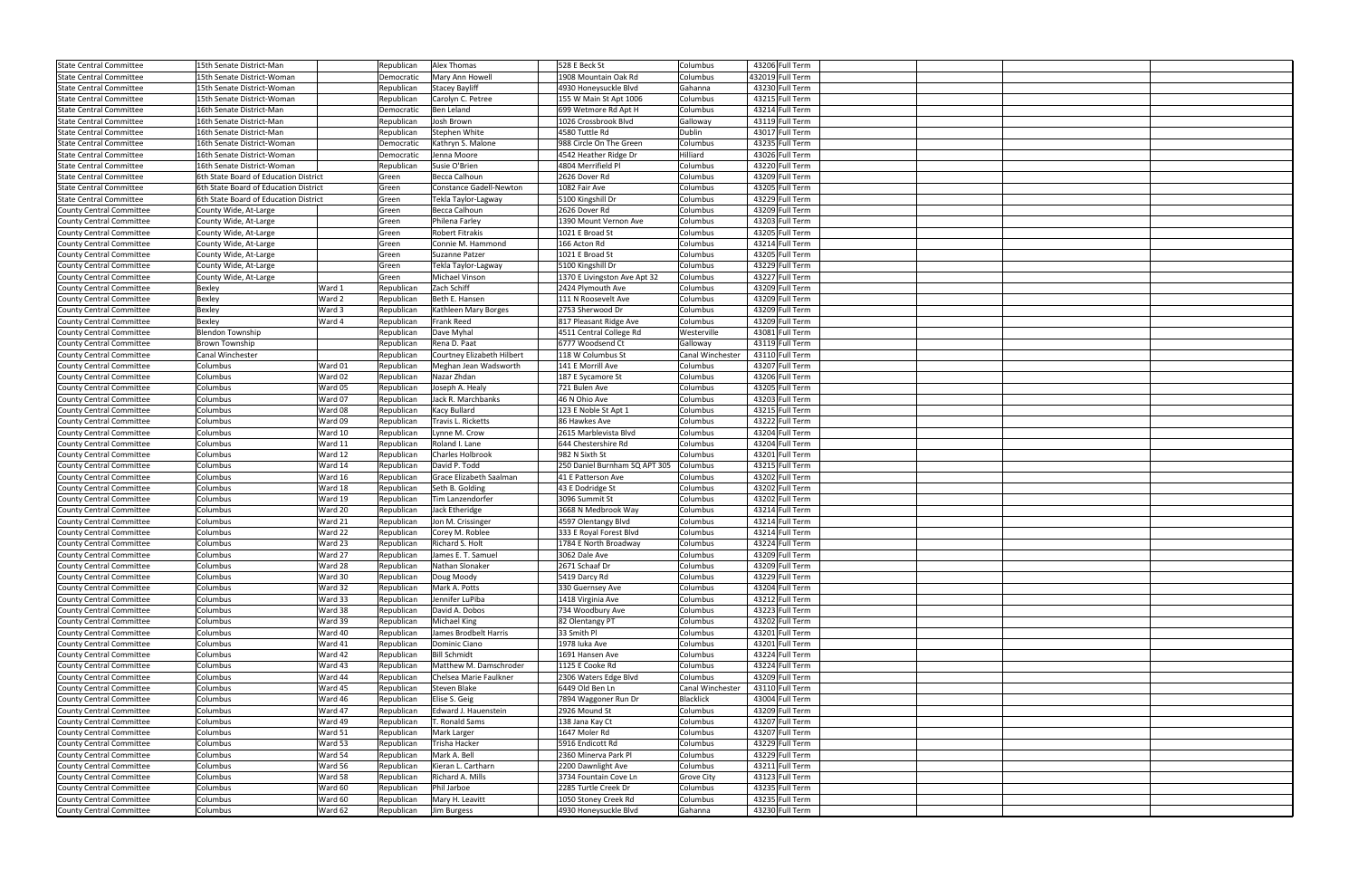| <b>State Central Committee</b>  | 15th Senate District-Man              |         | Republican | Alex Thomas                | 528 E Beck St                 | Columbus          | 43206 Full Term  |  |  |
|---------------------------------|---------------------------------------|---------|------------|----------------------------|-------------------------------|-------------------|------------------|--|--|
| <b>State Central Committee</b>  | 15th Senate District-Woman            |         | Democratic | Mary Ann Howell            | 1908 Mountain Oak Rd          | Columbus          | 432019 Full Term |  |  |
| <b>State Central Committee</b>  | 15th Senate District-Woman            |         | Republican | <b>Stacey Bayliff</b>      | 4930 Honeysuckle Blvd         | Gahanna           | 43230 Full Term  |  |  |
| <b>State Central Committee</b>  | 15th Senate District-Woman            |         | Republican | Carolyn C. Petree          | 155 W Main St Apt 1006        | Columbus          | 43215 Full Term  |  |  |
| <b>State Central Committee</b>  | 16th Senate District-Man              |         | Democratic | <b>Ben Leland</b>          | 699 Wetmore Rd Apt H          | Columbus          | 43214 Full Term  |  |  |
| <b>State Central Committee</b>  | 16th Senate District-Man              |         | Republican | Josh Brown                 | 1026 Crossbrook Blvd          | Galloway          | 43119 Full Term  |  |  |
| <b>State Central Committee</b>  | 16th Senate District-Man              |         | Republican | Stephen White              | 4580 Tuttle Rd                | Dublin            | 43017 Full Term  |  |  |
|                                 |                                       |         |            | Kathryn S. Malone          | 988 Circle On The Green       |                   | 43235 Full Term  |  |  |
| <b>State Central Committee</b>  | 16th Senate District-Woman            |         | Democratic |                            | 4542 Heather Ridge Dr         | Columbus          | 43026 Full Term  |  |  |
| <b>State Central Committee</b>  | 16th Senate District-Woman            |         | Democratic | Jenna Moore                |                               | Hilliard          |                  |  |  |
| <b>State Central Committee</b>  | 16th Senate District-Woman            |         | Republican | Susie O'Brien              | 4804 Merrifield Pl            | Columbus          | 43220 Full Term  |  |  |
| <b>State Central Committee</b>  | 6th State Board of Education District |         | Green      | Becca Calhoun              | 2626 Dover Rd                 | Columbus          | 43209 Full Term  |  |  |
| <b>State Central Committee</b>  | 6th State Board of Education District |         | Green      | Constance Gadell-Newton    | 1082 Fair Ave                 | Columbus          | 43205 Full Term  |  |  |
| <b>State Central Committee</b>  | 6th State Board of Education District |         | Green      | Tekla Taylor-Lagway        | 5100 Kingshill Dr             | Columbus          | 43229 Full Term  |  |  |
| <b>County Central Committee</b> | County Wide, At-Large                 |         | Green      | Becca Calhoun              | 2626 Dover Rd                 | Columbus          | 43209 Full Term  |  |  |
| <b>County Central Committee</b> | County Wide, At-Large                 |         | Green      | Philena Farley             | 1390 Mount Vernon Ave         | Columbus          | 43203 Full Term  |  |  |
| <b>County Central Committee</b> | County Wide, At-Large                 |         | Green      | Robert Fitrakis            | 1021 E Broad St               | Columbus          | 43205 Full Term  |  |  |
| <b>County Central Committee</b> | County Wide, At-Large                 |         | Green      | Connie M. Hammond          | 166 Acton Rd                  | Columbus          | 43214 Full Term  |  |  |
| <b>County Central Committee</b> | County Wide, At-Large                 |         | Green      | Suzanne Patzer             | 1021 E Broad St               | Columbus          | 43205 Full Term  |  |  |
| <b>County Central Committee</b> | County Wide, At-Large                 |         | Green      | Tekla Taylor-Lagway        | 5100 Kingshill Dr             | Columbus          | 43229 Full Term  |  |  |
| <b>County Central Committee</b> | County Wide, At-Large                 |         | Green      | Michael Vinson             | 1370 E Livingston Ave Apt 32  | Columbus          | 43227 Full Term  |  |  |
| <b>County Central Committee</b> | Bexley                                | Ward 1  | Republican | Zach Schiff                | 2424 Plymouth Ave             | Columbus          | 43209 Full Term  |  |  |
| <b>County Central Committee</b> | Bexley                                | Ward 2  | Republican | Beth E. Hansen             | 111 N Roosevelt Ave           | Columbus          | 43209 Full Term  |  |  |
| <b>County Central Committee</b> | Bexley                                | Ward 3  | Republican | Kathleen Mary Borges       | 2753 Sherwood Dr              | Columbus          | 43209 Full Term  |  |  |
| <b>County Central Committee</b> | Bexley                                | Ward 4  | Republican | Frank Reed                 | 817 Pleasant Ridge Ave        | Columbus          | 43209 Full Term  |  |  |
| <b>County Central Committee</b> | <b>Blendon Township</b>               |         | Republican | Dave Myhal                 | 4511 Central College Rd       | Westerville       | 43081 Full Term  |  |  |
| <b>County Central Committee</b> | Brown Township                        |         | Republican | Rena D. Paat               | 6777 Woodsend Ct              | Galloway          | 43119 Full Term  |  |  |
| <b>County Central Committee</b> | Canal Winchester                      |         | Republican | Courtney Elizabeth Hilbert | 118 W Columbus St             | Canal Wincheste   | 43110 Full Term  |  |  |
| <b>County Central Committee</b> | Columbus                              | Ward 01 | Republican | Meghan Jean Wadsworth      | 141 E Morrill Ave             | Columbus          | 43207 Full Term  |  |  |
| <b>County Central Committee</b> | Columbus                              | Ward 02 | Republican | Nazar Zhdan                | 187 E Sycamore St             | Columbus          | 43206 Full Term  |  |  |
| <b>County Central Committee</b> | Columbus                              | Ward 05 | Republican | Joseph A. Healy            | 721 Bulen Ave                 | Columbus          | 43205 Full Term  |  |  |
| <b>County Central Committee</b> | Columbus                              | Ward 07 | Republican | Jack R. Marchbanks         | 46 N Ohio Ave                 | Columbus          | 43203 Full Term  |  |  |
| <b>County Central Committee</b> | Columbus                              | Ward 08 | Republican | Kacy Bullard               | 123 E Noble St Apt 1          | Columbus          | 43215 Full Term  |  |  |
| <b>County Central Committee</b> | Columbus                              | Ward 09 | Republican | Travis L. Ricketts         | 86 Hawkes Ave                 | Columbus          | 43222 Full Term  |  |  |
| <b>County Central Committee</b> | Columbus                              | Ward 10 | Republican | Lynne M. Crow              | 2615 Marblevista Blvd         | Columbus          | 43204 Full Term  |  |  |
| <b>County Central Committee</b> | Columbus                              | Ward 11 | Republican | Roland I. Lane             | 644 Chestershire Rd           | Columbus          | 43204 Full Term  |  |  |
| <b>County Central Committee</b> | Columbus                              | Ward 12 | Republican | <b>Charles Holbrook</b>    | 982 N Sixth St                | Columbus          | 43201 Full Term  |  |  |
| <b>County Central Committee</b> | Columbus                              | Ward 14 | Republican | David P. Todd              | 250 Daniel Burnham SQ APT 305 | Columbus          | 43215 Full Term  |  |  |
| <b>County Central Committee</b> | Columbus                              | Ward 16 | Republican | Grace Elizabeth Saalman    | 41 E Patterson Ave            | Columbus          | 43202 Full Term  |  |  |
| <b>County Central Committee</b> | Columbus                              | Ward 18 | Republican | Seth B. Golding            | 43 E Dodridge St              | Columbus          | 43202 Full Term  |  |  |
|                                 | Columbus                              | Ward 19 |            | Tim Lanzendorfer           | 3096 Summit St                |                   | 43202 Full Term  |  |  |
| <b>County Central Committee</b> |                                       |         | Republican |                            |                               | Columbus          | 43214 Full Term  |  |  |
| <b>County Central Committee</b> | Columbus                              | Ward 20 | Republican | Jack Etheridge             | 3668 N Medbrook Way           | Columbus          | 43214 Full Term  |  |  |
| <b>County Central Committee</b> | Columbus                              | Ward 21 | Republican | Jon M. Crissinger          | 4597 Olentangy Blvd           | Columbus          |                  |  |  |
| <b>County Central Committee</b> | Columbus                              | Ward 22 | Republican | Corey M. Roblee            | 333 E Royal Forest Blvd       | Columbus          | 43214 Full Term  |  |  |
| <b>County Central Committee</b> | Columbus                              | Ward 23 | Republican | <b>Richard S. Holt</b>     | 1784 E North Broadway         | Columbus          | 43224 Full Term  |  |  |
| County Central Committee        | Columbus                              | Ward 27 | Republican | James E. T. Samuel         | 3062 Dale Ave                 | Columbus          | 43209 Full Term  |  |  |
| County Central Committee        | Columbus                              | Ward 28 | Republican | Nathan Slonaker            | 2671 Schaaf Dr                | Columbus          | 43209 Full Term  |  |  |
| County Central Committee        | Columbus                              | Ward 30 | Republican | Doug Moody                 | 5419 Darcy Rd                 | Columbus          | 43229 Full Term  |  |  |
| <b>County Central Committee</b> | Columbus                              | Ward 32 | Republican | Mark A. Potts              | 330 Guernsey Ave              | Columbus          | 43204 Full Term  |  |  |
| County Central Committee        | Columbus                              | Ward 33 | Republican | Jennifer LuPiba            | 1418 Virginia Ave             | Columbus          | 43212 Full Term  |  |  |
| County Central Committee        | Columbus                              | Ward 38 | Republican | David A. Dobos             | 734 Woodbury Ave              | Columbus          | 43223 Full Term  |  |  |
| County Central Committee        | Columbus                              | Ward 39 | Republican | <b>Michael King</b>        | 82 Olentangy PT               | Columbus          | 43202 Full Term  |  |  |
| County Central Committee        | Columbus                              | Ward 40 | Republican | James Brodbelt Harris      | 33 Smith Pl                   | Columbus          | 43201 Full Term  |  |  |
| County Central Committee        | Columbus                              | Ward 41 | Republican | Dominic Ciano              | 1978 luka Ave                 | Columbus          | 43201 Full Term  |  |  |
| <b>County Central Committee</b> | Columbus                              | Ward 42 | Republican | <b>Bill Schmidt</b>        | 1691 Hansen Ave               | Columbus          | 43224 Full Term  |  |  |
| County Central Committee        | Columbus                              | Ward 43 | Republican | Matthew M. Damschroder     | 1125 E Cooke Rd               | Columbus          | 43224 Full Term  |  |  |
| County Central Committee        | Columbus                              | Ward 44 | Republican | Chelsea Marie Faulkner     | 2306 Waters Edge Blvd         | Columbus          | 43209 Full Term  |  |  |
| <b>County Central Committee</b> | Columbus                              | Ward 45 | Republican | Steven Blake               | 6449 Old Ben Ln               | Canal Winchester  | 43110 Full Term  |  |  |
| County Central Committee        | Columbus                              | Ward 46 | Republican | Elise S. Geig              | 7894 Waggoner Run Dr          | Blacklick         | 43004 Full Term  |  |  |
| County Central Committee        | Columbus                              | Ward 47 | Republican | Edward J. Hauenstein       | 2926 Mound St                 | Columbus          | 43209 Full Term  |  |  |
| <b>County Central Committee</b> | Columbus                              | Ward 49 | Republican | T. Ronald Sams             | 138 Jana Kay Ct               | Columbus          | 43207 Full Term  |  |  |
| County Central Committee        | Columbus                              | Ward 51 | Republican | Mark Larger                | 1647 Moler Rd                 | Columbus          | 43207 Full Term  |  |  |
| County Central Committee        | Columbus                              | Ward 53 | Republican | Trisha Hacker              | 5916 Endicott Rd              | Columbus          | 43229 Full Term  |  |  |
| <b>County Central Committee</b> | Columbus                              | Ward 54 | Republican | Mark A. Bell               | 2360 Minerva Park Pl          | Columbus          | 43229 Full Term  |  |  |
| County Central Committee        | Columbus                              | Ward 56 | Republican | Kieran L. Cartharn         | 2200 Dawnlight Ave            | Columbus          | 43211 Full Term  |  |  |
| County Central Committee        | Columbus                              | Ward 58 | Republican | Richard A. Mills           | 3734 Fountain Cove Ln         | <b>Grove City</b> | 43123 Full Term  |  |  |
| <b>County Central Committee</b> | Columbus                              | Ward 60 | Republican | Phil Jarboe                | 2285 Turtle Creek Dr          | Columbus          | 43235 Full Term  |  |  |
| County Central Committee        | Columbus                              | Ward 60 | Republican | Mary H. Leavitt            | 1050 Stoney Creek Rd          | Columbus          | 43235 Full Term  |  |  |
| County Central Committee        | Columbus                              | Ward 62 | Republican | Jim Burgess                | 4930 Honeysuckle Blvd         | Gahanna           | 43230 Full Term  |  |  |
|                                 |                                       |         |            |                            |                               |                   |                  |  |  |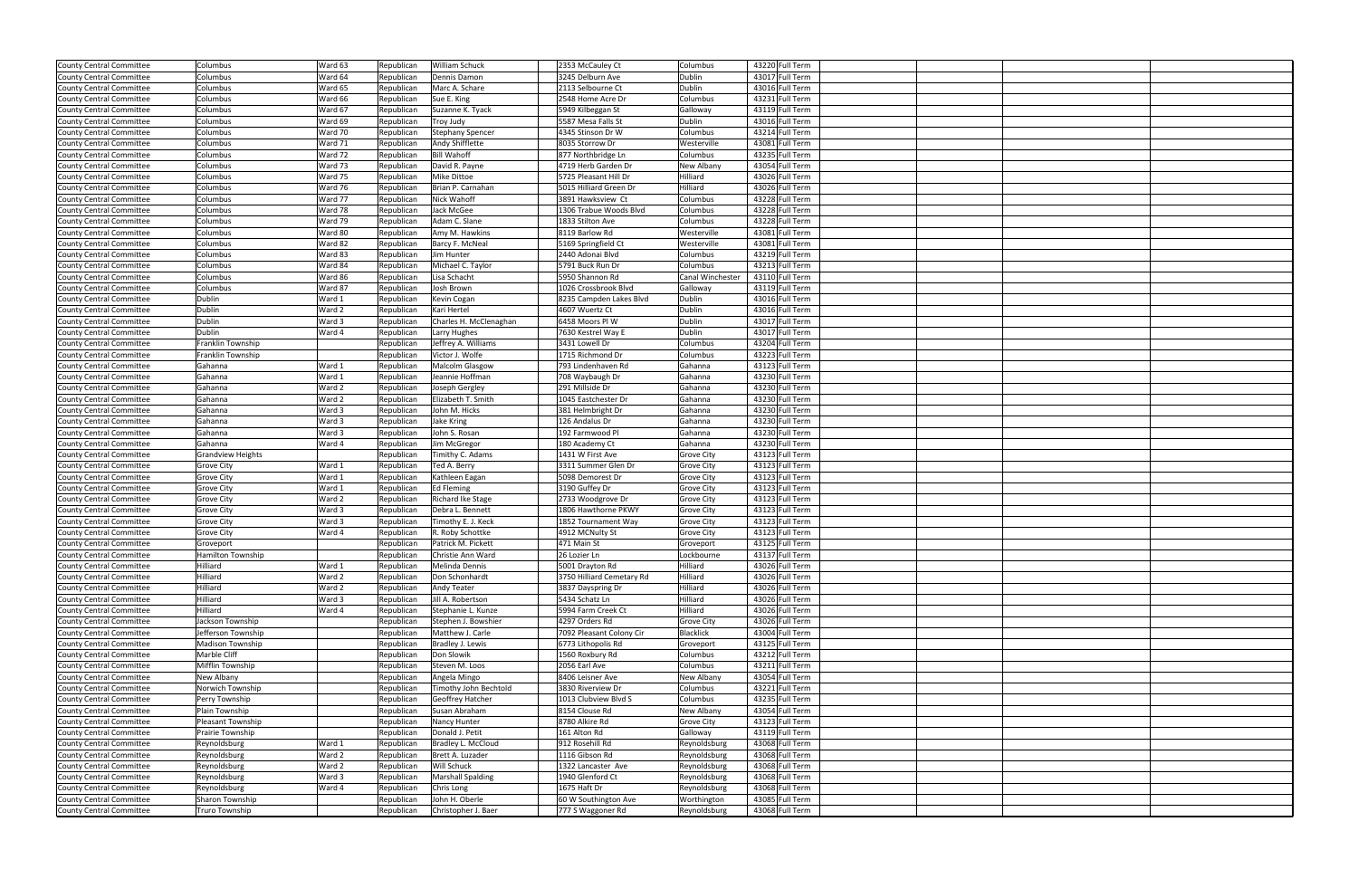| County Central Committee        | Columbus                 | Ward 63 | Republican | <b>William Schuck</b>    | 2353 McCauley Ct          | Columbus                | 43220 Full Term |  |
|---------------------------------|--------------------------|---------|------------|--------------------------|---------------------------|-------------------------|-----------------|--|
| County Central Committee        | Columbus                 | Ward 64 | Republican | Dennis Damon             | 3245 Delburn Ave          | Dublin                  | 43017 Full Term |  |
| <b>County Central Committee</b> | Columbus                 | Ward 65 | Republican | Marc A. Schare           | 2113 Selbourne Ct         | Dublin                  | 43016 Full Term |  |
| County Central Committee        | Columbus                 | Ward 66 | Republican | Sue E. King              | 2548 Home Acre Dr         | Columbus                | 43231 Full Term |  |
| <b>County Central Committee</b> | Columbus                 | Ward 67 | Republican | Suzanne K. Tyack         | 5949 Kilbeggan St         | Galloway                | 43119 Full Term |  |
| <b>County Central Committee</b> | Columbus                 | Ward 69 | Republican |                          | 5587 Mesa Falls St        | Dublin                  | 43016 Full Term |  |
|                                 |                          | Ward 70 |            | Troy Judy                | 4345 Stinson Dr W         |                         |                 |  |
| County Central Committee        | Columbus                 |         | Republican | <b>Stephany Spencer</b>  |                           | Columbus                | 43214 Full Term |  |
| <b>County Central Committee</b> | Columbus                 | Ward 71 | Republican | <b>Andy Shifflette</b>   | 8035 Storrow Dr           | Westerville             | 43081 Full Term |  |
| <b>County Central Committee</b> | Columbus                 | Ward 72 | Republican | <b>Bill Wahoff</b>       | 877 Northbridge Ln        | Columbus                | 43235 Full Term |  |
| County Central Committee        | Columbus                 | Ward 73 | Republican | David R. Payne           | 4719 Herb Garden Dr       | New Albany              | 43054 Full Term |  |
| County Central Committee        | Columbus                 | Ward 75 | Republican | <b>Mike Dittoe</b>       | 5725 Pleasant Hill Dr     | Hilliard                | 43026 Full Term |  |
| <b>County Central Committee</b> | Columbus                 | Ward 76 | Republican | Brian P. Carnahan        | 5015 Hilliard Green Dr    | Hilliard                | 43026 Full Term |  |
| <b>County Central Committee</b> | Columbus                 | Ward 77 | Republican | Nick Wahoff              | 3891 Hawksview Ct         | Columbus                | 43228 Full Term |  |
| County Central Committee        | Columbus                 | Ward 78 | Republican | Jack McGee               | 1306 Trabue Woods Blvd    | Columbus                | 43228 Full Term |  |
| <b>County Central Committee</b> | Columbus                 | Ward 79 | Republican | Adam C. Slane            | 1833 Stilton Ave          | Columbus                | 43228 Full Term |  |
| <b>County Central Committee</b> | Columbus                 | Ward 80 | Republican | Amy M. Hawkins           | 8119 Barlow Rd            | Westerville             | 43081 Full Term |  |
| County Central Committee        | Columbus                 | Ward 82 | Republican | Barcy F. McNeal          | 5169 Springfield Ct       | Westerville             | 43081 Full Term |  |
| <b>County Central Committee</b> | Columbus                 | Ward 83 | Republican | Jim Hunter               | 2440 Adonai Blvd          | Columbus                | 43219 Full Term |  |
| County Central Committee        | Columbus                 | Ward 84 | Republican | Michael C. Taylor        | 5791 Buck Run Dr          | Columbus                | 43213 Full Term |  |
| County Central Committee        | Columbus                 | Ward 86 | Republican | Lisa Schacht             | 5950 Shannon Rd           | <b>Canal Winchester</b> | 43110 Full Term |  |
| <b>County Central Committee</b> | Columbus                 | Ward 87 | Republican | Josh Brown               | 1026 Crossbrook Blvd      | Galloway                | 43119 Full Term |  |
| County Central Committee        | Dublin                   | Ward 1  | Republican | Kevin Cogan              | 8235 Campden Lakes Blvd   | Dublin                  | 43016 Full Term |  |
| County Central Committee        | Dublin                   | Ward 2  | Republican | Kari Hertel              | 4607 Wuertz Ct            | Dublin                  | 43016 Full Term |  |
| <b>County Central Committee</b> | Dublin                   | Ward 3  | Republican | Charles H. McClenaghan   | 6458 Moors PI W           | Dublin                  | 43017 Full Term |  |
| County Central Committee        | Dublin                   | Ward 4  | Republican | Larry Hughes             | 7630 Kestrel Way E        | Dublin                  | 43017 Full Term |  |
| County Central Committee        | Franklin Township        |         | Republican | Jeffrey A. Williams      | 3431 Lowell Dr            | Columbus                | 43204 Full Term |  |
| <b>County Central Committee</b> | Franklin Township        |         | Republican | Victor J. Wolfe          | 1715 Richmond Dr          | Columbus                | 43223 Full Term |  |
| County Central Committee        | Gahanna                  | Ward 1  | Republican | Malcolm Glasgow          | 793 Lindenhaven Rd        | Gahanna                 | 43123 Full Term |  |
| County Central Committee        | Gahanna                  | Ward 1  | Republican | Jeannie Hoffman          | 708 Waybaugh Dr           | Gahanna                 | 43230 Full Term |  |
| <b>County Central Committee</b> | Gahanna                  | Ward 2  | Republican | Joseph Gergley           | 291 Millside Dr           | Gahanna                 | 43230 Full Term |  |
| County Central Committee        | Gahanna                  | Ward 2  | Republican | Elizabeth T. Smith       | 1045 Eastchester Dr       | Gahanna                 | 43230 Full Term |  |
| County Central Committee        | Gahanna                  | Ward 3  | Republican | John M. Hicks            | 381 Helmbright Dr         | Gahanna                 | 43230 Full Term |  |
| <b>County Central Committee</b> | Gahanna                  | Ward 3  | Republican | Jake Kring               | 126 Andalus Dr            | Gahanna                 | 43230 Full Term |  |
| County Central Committee        | Gahanna                  | Ward 3  | Republican | John S. Rosan            | 192 Farmwood Pl           | Gahanna                 | 43230 Full Term |  |
| County Central Committee        | Gahanna                  | Ward 4  | Republican | Jim McGregor             | 180 Academy Ct            | Gahanna                 | 43230 Full Term |  |
| <b>County Central Committee</b> | <b>Grandview Heights</b> |         | Republican | Timithy C. Adams         | 1431 W First Ave          | <b>Grove City</b>       | 43123 Full Term |  |
|                                 | Grove City               | Ward 1  |            | Ted A. Berry             | 3311 Summer Glen Dr       | <b>Grove City</b>       | 43123 Full Term |  |
| County Central Committee        |                          |         | Republican |                          |                           |                         |                 |  |
| County Central Committee        | Grove City               | Ward 1  | Republican | Kathleen Eagan           | 5098 Demorest Dr          | <b>Grove City</b>       | 43123 Full Term |  |
| <b>County Central Committee</b> | <b>Grove City</b>        | Ward 1  | Republican | <b>Ed Fleming</b>        | 3190 Guffey Dr            | <b>Grove City</b>       | 43123 Full Term |  |
| County Central Committee        | Grove City               | Ward 2  | Republican | Richard Ike Stage        | 2733 Woodgrove Dr         | <b>Grove City</b>       | 43123 Full Term |  |
| County Central Committee        | Grove City               | Ward 3  | Republican | Debra L. Bennett         | 1806 Hawthorne PKWY       | <b>Grove City</b>       | 43123 Full Term |  |
| <b>County Central Committee</b> | Grove City               | Ward 3  | Republican | Timothy E. J. Keck       | 1852 Tournament Way       | <b>Grove City</b>       | 43123 Full Term |  |
| County Central Committee        | Grove City               | Ward 4  | Republican | R. Roby Schottke         | 4912 MCNulty St           | <b>Grove City</b>       | 43123 Full Term |  |
| County Central Committee        | Groveport                |         | Republican | Patrick M. Pickett       | 471 Main St               | Groveport               | 43125 Full Term |  |
| County Central Committee        | Hamilton Township        |         | Republican | Christie Ann Ward        | 26 Lozier Ln              | Lockbourne              | 43137 Full Term |  |
| County Central Committee        | Hilliard                 | Ward 1  | Republican | Melinda Dennis           | 5001 Drayton Rd           | Hilliard                | 43026 Full Term |  |
| County Central Committee        | Hilliard                 | Ward 2  | Republican | Don Schonhardt           | 3750 Hilliard Cemetary Rd | Hilliard                | 43026 Full Term |  |
| County Central Committee        | Hilliard                 | Ward 2  | Republican | <b>Andy Teater</b>       | 3837 Dayspring Dr         | Hilliard                | 43026 Full Term |  |
| County Central Committee        | Hilliard                 | Ward 3  | Republican | Jill A. Robertson        | 5434 Schatz Ln            | Hilliard                | 43026 Full Term |  |
| County Central Committee        | Hilliard                 | Ward 4  | Republican | Stephanie L. Kunze       | 5994 Farm Creek Ct        | Hilliard                | 43026 Full Term |  |
| County Central Committee        | Jackson Township         |         | Republican | Stephen J. Bowshier      | 4297 Orders Rd            | <b>Grove City</b>       | 43026 Full Term |  |
| County Central Committee        | Jefferson Township       |         | Republican | Matthew J. Carle         | 7092 Pleasant Colony Cir  | Blacklick               | 43004 Full Term |  |
| County Central Committee        | <b>Madison Township</b>  |         | Republican | Bradley J. Lewis         | 6773 Lithopolis Rd        | Groveport               | 43125 Full Term |  |
| County Central Committee        | Marble Cliff             |         | Republican | Don Slowik               | 1560 Roxbury Rd           | Columbus                | 43212 Full Term |  |
| County Central Committee        | Mifflin Township         |         | Republican | Steven M. Loos           | 2056 Earl Ave             | Columbus                | 43211 Full Term |  |
| County Central Committee        | New Albany               |         | Republican | Angela Mingo             | 8406 Leisner Ave          | New Albany              | 43054 Full Term |  |
| County Central Committee        | Norwich Township         |         | Republican | Timothy John Bechtold    | 3830 Riverview Dr         | Columbus                | 43221 Full Term |  |
| County Central Committee        | Perry Township           |         | Republican | <b>Geoffrey Hatcher</b>  | 1013 Clubview Blvd S      | Columbus                | 43235 Full Term |  |
| County Central Committee        | Plain Township           |         | Republican | Susan Abraham            | 8154 Clouse Rd            | New Albany              | 43054 Full Term |  |
| County Central Committee        | Pleasant Township        |         | Republican | Nancy Hunter             | 8780 Alkire Rd            | <b>Grove City</b>       | 43123 Full Term |  |
| County Central Committee        | Prairie Township         |         | Republican | Donald J. Petit          | 161 Alton Rd              | Galloway                | 43119 Full Term |  |
| County Central Committee        | Reynoldsburg             | Ward 1  | Republican | Bradley L. McCloud       | 912 Rosehill Rd           | Reynoldsburg            | 43068 Full Term |  |
| <b>County Central Committee</b> | Reynoldsburg             | Ward 2  | Republican | Brett A. Luzader         | 1116 Gibson Rd            | Reynoldsburg            | 43068 Full Term |  |
| County Central Committee        | Reynoldsburg             | Ward 2  | Republican | Will Schuck              | 1322 Lancaster Ave        | Reynoldsburg            | 43068 Full Term |  |
| County Central Committee        | Reynoldsburg             | Ward 3  | Republican | <b>Marshall Spalding</b> | 1940 Glenford Ct          | Reynoldsburg            | 43068 Full Term |  |
| <b>County Central Committee</b> | Reynoldsburg             | Ward 4  | Republican | Chris Long               | 1675 Haft Dr              | Reynoldsburg            | 43068 Full Term |  |
| County Central Committee        | Sharon Township          |         | Republican | John H. Oberle           | 60 W Southington Ave      | Worthington             | 43085 Full Term |  |
|                                 |                          |         | Republican | Christopher J. Baer      |                           | Reynoldsburg            | 43068 Full Term |  |
| County Central Committee        | Truro Township           |         |            |                          | 777 S Waggoner Rd         |                         |                 |  |